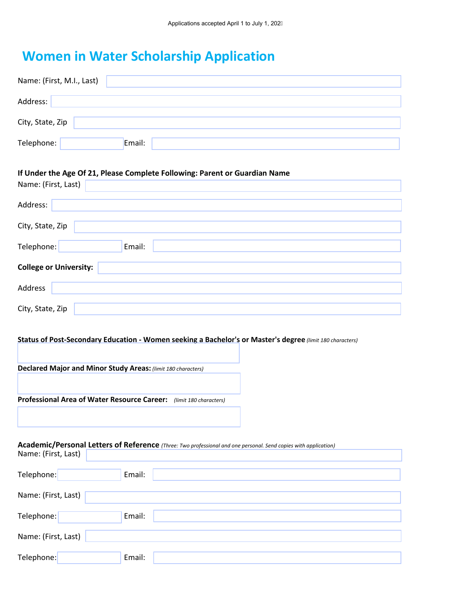## **Women in Water Scholarship Application**

| Name: (First, M.I., Last)                                                                                                              |  |  |
|----------------------------------------------------------------------------------------------------------------------------------------|--|--|
| Address:                                                                                                                               |  |  |
| City, State, Zip                                                                                                                       |  |  |
| Telephone:<br>Email:                                                                                                                   |  |  |
| If Under the Age Of 21, Please Complete Following: Parent or Guardian Name<br>Name: (First, Last)                                      |  |  |
| Address:                                                                                                                               |  |  |
| City, State, Zip                                                                                                                       |  |  |
| Telephone:<br>Email:                                                                                                                   |  |  |
| <b>College or University:</b>                                                                                                          |  |  |
| Address                                                                                                                                |  |  |
| City, State, Zip                                                                                                                       |  |  |
| Status of Post-Secondary Education - Women seeking a Bachelor's or Master's degree (limit 180 characters)                              |  |  |
| Declared Major and Minor Study Areas: (limit 180 characters)                                                                           |  |  |
| Professional Area of Water Resource Career: (limit 180 characters)                                                                     |  |  |
| Academic/Personal Letters of Reference (Three: Two professional and one personal. Send copies with application)<br>Name: (First, Last) |  |  |
| Telephone:<br>Email:                                                                                                                   |  |  |

| Name: (First, Last) |        |  |
|---------------------|--------|--|
| Telephone:          | Email: |  |
| Name: (First, Last) |        |  |
| Telephone:          | Email: |  |